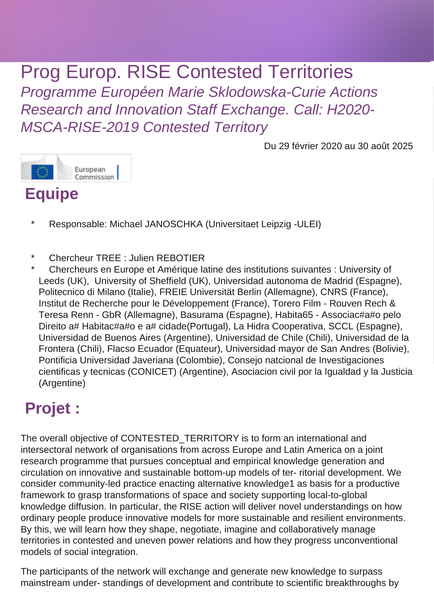# Prog Europ. RISE Contested Territories

Programme Européen Marie Sklodowska-Curie Actions Research and Innovation Staff Exchange. Call: H2020- MSCA-RISE-2019 Contested Territory

Du 29 février 2020 au 30 août 2025



#### **Equipe**

- Responsable: Michael JANOSCHKA (Universitaet Leipzig -ULEI)
- Chercheur TREE : Julien REBOTIER
- \* Chercheurs en Europe et Amérique latine des institutions suivantes : University of Leeds (UK), University of Sheffield (UK), Universidad autonoma de Madrid (Espagne), Politecnico di Milano (Italie), FREIE Universität Berlin (Allemagne), CNRS (France), Institut de Recherche pour le Développement (France), Torero Film - Rouven Rech & Teresa Renn - GbR (Allemagne), Basurama (Espagne), Habita65 - Associac#a#o pelo Direito a# Habitac#a#o e a# cidade(Portugal), La Hidra Cooperativa, SCCL (Espagne), Universidad de Buenos Aires (Argentine), Universidad de Chile (Chili), Universidad de la Frontera (Chili), Flacso Ecuador (Equateur), Universidad mayor de San Andres (Bolivie), Pontificia Universidad Javeriana (Colombie), Consejo natcional de Investigaciones cientificas y tecnicas (CONICET) (Argentine), Asociacion civil por la Igualdad y la Justicia (Argentine)

# **Projet :**

The overall objective of CONTESTED\_TERRITORY is to form an international and intersectoral network of organisations from across Europe and Latin America on a joint research programme that pursues conceptual and empirical knowledge generation and circulation on innovative and sustainable bottom-up models of ter- ritorial development. We consider community-led practice enacting alternative knowledge1 as basis for a productive framework to grasp transformations of space and society supporting local-to-global knowledge diffusion. In particular, the RISE action will deliver novel understandings on how ordinary people produce innovative models for more sustainable and resilient environments. By this, we will learn how they shape, negotiate, imagine and collaboratively manage territories in contested and uneven power relations and how they progress unconventional models of social integration.

The participants of the network will exchange and generate new knowledge to surpass mainstream under- standings of development and contribute to scientific breakthroughs by